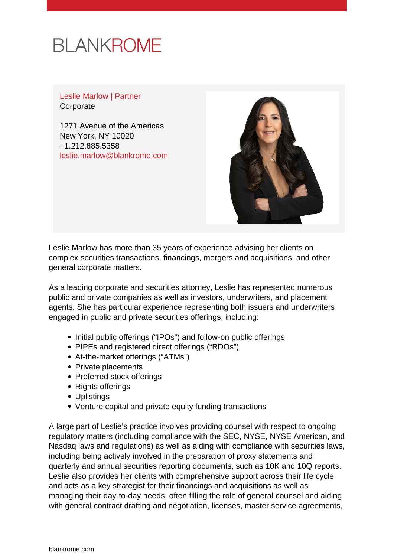

Leslie Marlow | Partner **Corporate** 

1271 Avenue of the Americas New York, NY 10020 +1.212.885.5358 [leslie.marlow@blankrome.com](mailto:leslie.marlow@blankrome.com)



Leslie Marlow has more than 35 years of experience advising her clients on complex securities transactions, financings, mergers and acquisitions, and other general corporate matters.

As a leading corporate and securities attorney, Leslie has represented numerous public and private companies as well as investors, underwriters, and placement agents. She has particular experience representing both issuers and underwriters engaged in public and private securities offerings, including:

- Initial public offerings ("IPOs") and follow-on public offerings
- PIPEs and registered direct offerings ("RDOs")
- At-the-market offerings ("ATMs")
- Private placements
- Preferred stock offerings
- Rights offerings
- Uplistings
- Venture capital and private equity funding transactions

A large part of Leslie's practice involves providing counsel with respect to ongoing regulatory matters (including compliance with the SEC, NYSE, NYSE American, and Nasdaq laws and regulations) as well as aiding with compliance with securities laws, including being actively involved in the preparation of proxy statements and quarterly and annual securities reporting documents, such as 10K and 10Q reports. Leslie also provides her clients with comprehensive support across their life cycle and acts as a key strategist for their financings and acquisitions as well as managing their day-to-day needs, often filling the role of general counsel and aiding with general contract drafting and negotiation, licenses, master service agreements,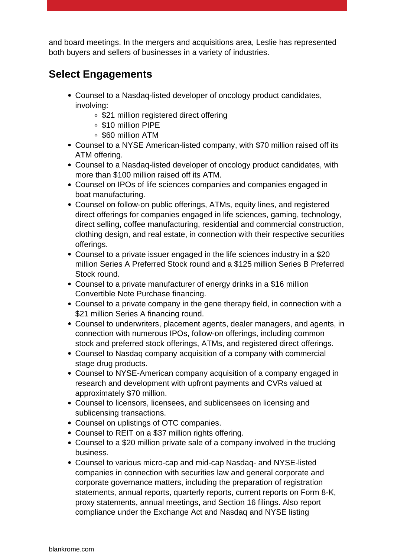and board meetings. In the mergers and acquisitions area, Leslie has represented both buyers and sellers of businesses in a variety of industries.

## **Select Engagements**

- Counsel to a Nasdaq-listed developer of oncology product candidates, involving:
	- \$21 million registered direct offering
	- \$10 million PIPE
	- \$60 million ATM
- Counsel to a NYSE American-listed company, with \$70 million raised off its ATM offering.
- Counsel to a Nasdaq-listed developer of oncology product candidates, with more than \$100 million raised off its ATM.
- Counsel on IPOs of life sciences companies and companies engaged in boat manufacturing.
- Counsel on follow-on public offerings, ATMs, equity lines, and registered direct offerings for companies engaged in life sciences, gaming, technology, direct selling, coffee manufacturing, residential and commercial construction, clothing design, and real estate, in connection with their respective securities offerings.
- Counsel to a private issuer engaged in the life sciences industry in a \$20 million Series A Preferred Stock round and a \$125 million Series B Preferred Stock round.
- Counsel to a private manufacturer of energy drinks in a \$16 million Convertible Note Purchase financing.
- Counsel to a private company in the gene therapy field, in connection with a \$21 million Series A financing round.
- Counsel to underwriters, placement agents, dealer managers, and agents, in connection with numerous IPOs, follow-on offerings, including common stock and preferred stock offerings, ATMs, and registered direct offerings.
- Counsel to Nasdaq company acquisition of a company with commercial stage drug products.
- Counsel to NYSE-American company acquisition of a company engaged in research and development with upfront payments and CVRs valued at approximately \$70 million.
- Counsel to licensors, licensees, and sublicensees on licensing and sublicensing transactions.
- Counsel on uplistings of OTC companies.
- Counsel to REIT on a \$37 million rights offering.
- Counsel to a \$20 million private sale of a company involved in the trucking business.
- Counsel to various micro-cap and mid-cap Nasdaq- and NYSE-listed companies in connection with securities law and general corporate and corporate governance matters, including the preparation of registration statements, annual reports, quarterly reports, current reports on Form 8-K, proxy statements, annual meetings, and Section 16 filings. Also report compliance under the Exchange Act and Nasdaq and NYSE listing